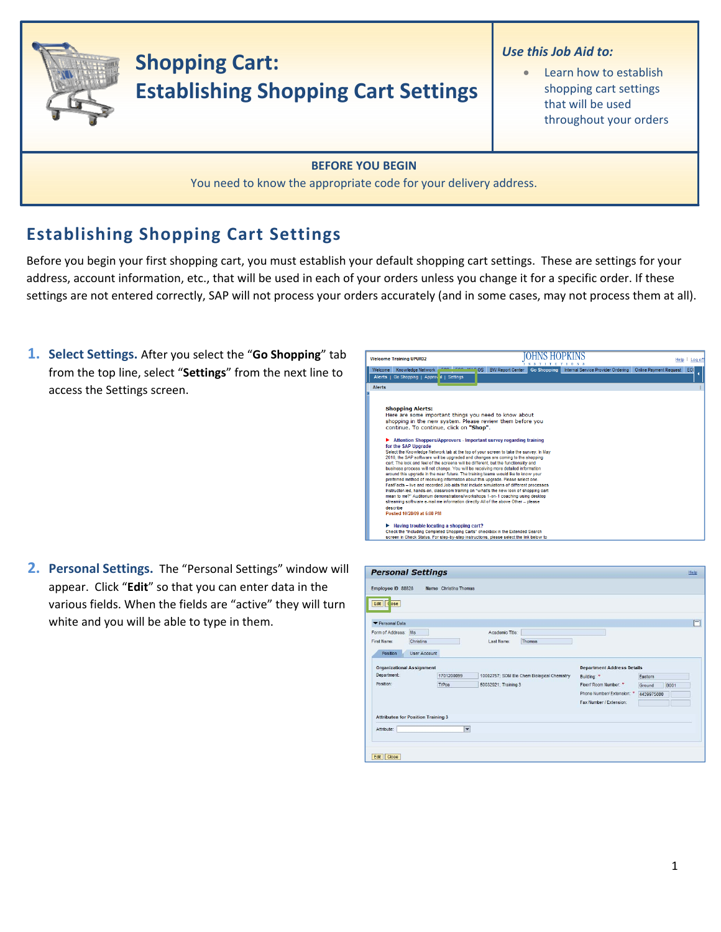

## **Establishing Shopping Cart Settings**

Before you begin your first shopping cart, you must establish your default shopping cart settings. These are settings for your address, account information, etc., that will be used in each of your orders unless you change it for a specific order. If these settings are not entered correctly, SAP will not process your orders accurately (and in some cases, may not process them at all).

**1. Select Settings.** After you select the "**Go Shopping**" tab from the top line, select "**Settings**" from the next line to access the Settings screen.

| <b>Welcome Training UPUR32</b>                                                                                                                                                                                                                                                                                                                                                                                                                                                                                                                                                                                                                                                                                                                                                                                                                                                                                                                                                                                                                                                                                                                                                                                                                                         |                                               |                                    | Help<br>Log of                      |
|------------------------------------------------------------------------------------------------------------------------------------------------------------------------------------------------------------------------------------------------------------------------------------------------------------------------------------------------------------------------------------------------------------------------------------------------------------------------------------------------------------------------------------------------------------------------------------------------------------------------------------------------------------------------------------------------------------------------------------------------------------------------------------------------------------------------------------------------------------------------------------------------------------------------------------------------------------------------------------------------------------------------------------------------------------------------------------------------------------------------------------------------------------------------------------------------------------------------------------------------------------------------|-----------------------------------------------|------------------------------------|-------------------------------------|
| Knowledge Network<br><b>OS</b><br>Welcome<br>Go Shopping   Approval   Settings<br>Alerts                                                                                                                                                                                                                                                                                                                                                                                                                                                                                                                                                                                                                                                                                                                                                                                                                                                                                                                                                                                                                                                                                                                                                                               | <b>BW Report Center</b><br><b>Go Shopping</b> | Internal Service Provider Ordering | <b>Online Payment Request</b><br>EC |
| <b>Alerts</b>                                                                                                                                                                                                                                                                                                                                                                                                                                                                                                                                                                                                                                                                                                                                                                                                                                                                                                                                                                                                                                                                                                                                                                                                                                                          |                                               |                                    |                                     |
| <b>Shopping Alerts:</b><br>Here are some important things you need to know about<br>shopping in the new system. Please review them before you<br>continue. To continue, click on "Shop".<br>Attention Shoppers/Approvers - Important survey regarding training<br>for the SAP Upgrade<br>Select the Knowledge Network tab at the top of your screen to take the survey. In May<br>2010, the SAP software will be upgraded and changes are coming to the shopping<br>cart. The look and feel of the screens will be different, but the functionality and<br>business process will not change. You will be receiving more detailed information<br>around this upgrade in the near future. The training teams would like to know your<br>preferred method of receiving information about this upgrade. Please select one.<br>FastFacts - live and recorded Job aids that include simulations of different processes<br>Instructor-led, hands-on, classroom training on "what's the new look of shopping cart<br>mean to me?" Auditorium demonstrations/workshops 1-on-1 coaching using desktop<br>streaming software e-mail me information directly All of the above Other - please<br>describe<br>Posted 10/28/09 at 5:08 PM<br>Having trouble locating a shopping cart? |                                               |                                    |                                     |
| Check the "Including Completed Shopping Carts" checkbox in the Extended Search<br>screen in Check Status. For step-by-step instructions, please select the link below to                                                                                                                                                                                                                                                                                                                                                                                                                                                                                                                                                                                                                                                                                                                                                                                                                                                                                                                                                                                                                                                                                               |                                               |                                    |                                     |

**2. Personal Settings.** The "Personal Settings" window will appear. Click "**Edit**" so that you can enter data in the various fields. When the fields are "active" they will turn white and you will be able to type in them.

| Employee ID 88828<br>Edit   (ose          |                     | Name Christina Thomas |                      |                                             |                                   |            |             |
|-------------------------------------------|---------------------|-----------------------|----------------------|---------------------------------------------|-----------------------------------|------------|-------------|
| Personal Data                             |                     |                       |                      |                                             |                                   |            |             |
| Form of Address: Ms                       |                     |                       | Academic Title:      |                                             |                                   |            |             |
| First Name:                               | Christina           |                       | Last Name:           | Thomas                                      |                                   |            |             |
| Position                                  | <b>User Account</b> |                       |                      |                                             |                                   |            |             |
| <b>Organizational Assignment</b>          |                     |                       |                      |                                             | <b>Department Address Details</b> |            |             |
| Department:                               |                     | 1701200099            |                      | 10002757; SOM Bio Chem Biological Chemistry | Building: *                       | Eastern    |             |
| Position:                                 |                     | TrPos                 | 50032921; Training 3 |                                             | Floor/ Room Number: *             | Ground     | <b>B001</b> |
|                                           |                     |                       |                      |                                             | Phone Number/ Extension: *        | 4439975600 |             |
|                                           |                     |                       |                      |                                             | Fax Number / Extension:           |            |             |
| <b>Attributes for Position Training 3</b> |                     |                       |                      |                                             |                                   |            |             |
| Attribute:                                |                     | $\checkmark$          |                      |                                             |                                   |            |             |
|                                           |                     |                       |                      |                                             |                                   |            |             |
|                                           |                     |                       |                      |                                             |                                   |            |             |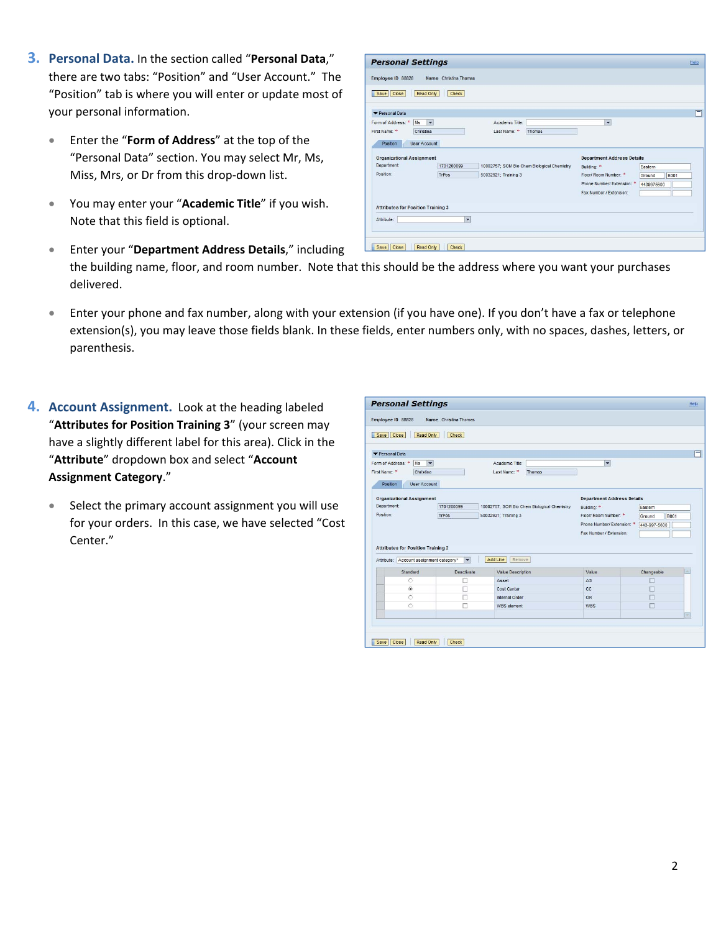- **3. Personal Data.** In the section called "**Personal Data**," there are two tabs: "Position" and "User Account." The "Position" tab is where you will enter or update most your personal information.
	- Enter the "**Form of Address**" at the top of the "Personal Data" section. You may select Mr, Ms, Miss, Mrs, or Dr from this drop‐down list.
	- You may enter your "**Academic Title**" if you wish. Note that this field is optional.

| Form of Address: * Ms v<br>Christina<br>First Name: *                       |                          | Academic Title:<br>Last Name: *<br>Thomas   | $\overline{\phantom{0}}$                                                       |                                     |
|-----------------------------------------------------------------------------|--------------------------|---------------------------------------------|--------------------------------------------------------------------------------|-------------------------------------|
| Position<br>User Account<br><b>Organizational Assignment</b><br>Department: | 1701200099               | 10002757; SOM Bio Chem Biological Chemistry | <b>Department Address Details</b><br>Building: *                               | Eastern                             |
| Position:                                                                   | <b>TrPos</b>             | 50032921; Training 3                        | Floor/ Room Number: *<br>Phone Number/ Extension: *<br>Fax Number / Extension: | <b>B001</b><br>Ground<br>4439975600 |
| <b>Attributes for Position Training 3</b>                                   |                          |                                             |                                                                                |                                     |
| Attribute:                                                                  | $\overline{\phantom{0}}$ |                                             |                                                                                |                                     |

• Enter your "**Department Address Details**," including the building name, floor, and room number. Note that this should be the address where you want your purchases delivered.

**Personal Settings** Employee ID 88828 Name Christina Thoma

- Enter your phone and fax number, along with your extension (if you have one). If you don't have a fax or telephone extension(s), you may leave those fields blank. In these fields, enter numbers only, with no spaces, dashes, letters, or parenthesis.
- **4. Account Assignment.** Look at the heading labeled "**Attributes for Position Training 3**" (your screen may have a slightly different label for this area). Click in the "**Attribute**" dropdown box and select "**Account Assignment Category**."
	- Select the primary account assignment you will use for your orders. In this case, we have selected "Cost Center."

| <b>Personal Settings</b>                             |                          |                      |                                             |                                   |              | Help |
|------------------------------------------------------|--------------------------|----------------------|---------------------------------------------|-----------------------------------|--------------|------|
| Employee ID 88828                                    | Name Christina Thomas    |                      |                                             |                                   |              |      |
| Close<br>Read Only<br>Save                           | Check                    |                      |                                             |                                   |              |      |
| Personal Data                                        |                          |                      |                                             |                                   |              | Ħ    |
| $\overline{\phantom{a}}$<br>Form of Address: *<br>Ms |                          | Academic Title:      |                                             | $\overline{\phantom{0}}$          |              |      |
| First Name: *<br>Christina                           |                          | Last Name: *         | Thomas                                      |                                   |              |      |
| <b>User Account</b><br>Position                      |                          |                      |                                             |                                   |              |      |
| <b>Organizational Assignment</b>                     |                          |                      |                                             | <b>Department Address Details</b> |              |      |
| Department:                                          | 1701200099               |                      | 10002757; SOM Bio Chem Biological Chemistry | Building: *<br>Eastern            |              |      |
| Position:                                            | TrPos                    | 50032921; Training 3 |                                             | Floor/ Room Number: *             |              |      |
|                                                      |                          |                      |                                             | Phone Number/ Extension: *        |              |      |
|                                                      |                          |                      |                                             | Fax Number / Extension:           | 443-997-5600 |      |
|                                                      |                          |                      |                                             |                                   |              |      |
| <b>Attributes for Position Training 3</b>            |                          |                      |                                             |                                   |              |      |
| Attribute: Account assignment category*              | $\overline{\phantom{a}}$ | Remove<br>Add Line   |                                             |                                   |              |      |
| Standard                                             | Deactivate               | Value Description    |                                             | Value                             | Changeable   |      |
| O                                                    |                          | Asset                |                                             | AS                                |              |      |
| $\odot$                                              |                          | Cost Center          |                                             | CC                                |              |      |
| $\circ$                                              |                          | Internal Order       |                                             | <b>OR</b>                         |              |      |
| $\circ$                                              |                          | <b>WBS</b> element   |                                             | <b>WBS</b>                        |              |      |
|                                                      |                          |                      |                                             |                                   |              |      |
|                                                      |                          |                      |                                             |                                   |              |      |
|                                                      |                          |                      |                                             |                                   |              |      |
|                                                      |                          |                      |                                             |                                   |              |      |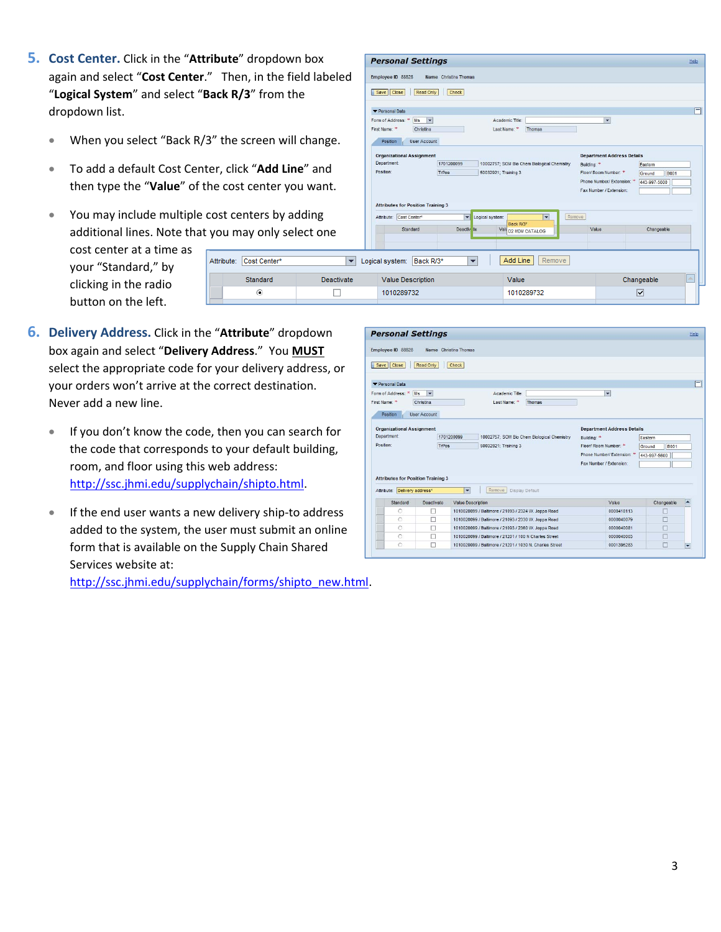- **5. Cost Center.** Click in the "**Attribute**" dropdown box again and select "**Cost Center**." Then, in the field labeled "**Logical System**" and select "**Back R/3**" from the dropdown list.
	- When you select "Back R/3" the screen will change.
	- To add a default Cost Center, click "**Add Line**" and then type the "**Value**" of the cost center you want.
	- You may include multiple cost centers by adding additional lines. Note that you may only select one

Attribute: Cost Center\*

Standard

 $\odot$ 

cost center at a time as your "Standard," by clicking in the radio button on the left.

- **Personal Settings** Help Employee ID 88828 Name Christina Thomas Save Close Read Only Check  $\Box$ Personal Data Form of Address:  $*$  Ms  $\overline{\phantom{0}}$ Academic Title: First Name: \* Christina Last Name: \* Thomas Position User Account Organizational Assignment **Department Address Details** 1701200099 10002757: SOM Bio Chem Biological Chemistry Department Building: \* Faster Position: Floor/ Room Number: \* Ground B001 TrPos 50032921; Training 3 Phone Number/ Extension: \* 443-997-5600 Fax Number / Extension: **Attributes for Position Training 3** Attribute: Cost Center\* Logical system: Remove Back D/3\* Standard Deacti Val D2 MDM CATALOG Value Changeable Add Line Remove V Logical system: Back R/3\*  $\overline{\phantom{a}}$ Deactivate Changeable Value Description Value 1010289732 1010289732 П  $\overline{\blacktriangledown}$
- **6. Delivery Address.** Click in the "**Attribute**" dropdown box again and select "**Delivery Address**." You **MUST** select the appropriate code for your delivery address, or your orders won't arrive at the correct destination. Never add a new line.
	- If you don't know the code, then you can search for the code that corresponds to your default building, room, and floor using this web address: http://ssc.jhmi.edu/supplychain/shipto.html.
	- If the end user wants a new delivery ship-to address added to the system, the user must submit an online form that is available on the Supply Chain Shared Services website at: http://ssc.jhmi.edu/supplychain/forms/shipto\_new.html.

**Personal Settings** Help Employee ID 88828 Name Christina Thomas Save Close Read Only Check  $\Box$ Personal Data Form of Address: \* Ms Academic Title:  $\overline{\phantom{0}}$ First Name: \* Christina Last Name: \* Thomas Position User Account Organizational Assignment **Department Address Details** 1701200099 Department: 10002757; SOM Bio Chem Biological Chemistry Building: \* Eastern Position: Floor/ Room Number: \* **B**001 TrPos 50032921; Training 3 Ground Phone Number/ Extension: \* 443-997-5600 Fax Number / Extension: **Attributes for Position Training 3** Attribute: Delivery address\* Remove | Display Default Standard Deactivate Value Description Value Changeable 0000418113 1010020099 / Baltimore / 21093 / 2324 W. Joppa Road  $\frac{\Box}{\Box}$  $\frac{1}{1}$ 1010020099 / Baltimore / 21093 / 2330 W. Joppa Road 0000040079  $\overline{\circ}$  $\Box$ 1010020099 / Baltimore / 21093 / 2360 W. Joppa Road 0000040081  $\Box$ п 1010020099 / Baltimore / 21201 / 100 N Charles Street 0000040003  $\square$ 1010020099 / Baltimore / 21201 / 1030 N. Charles Street 0001396283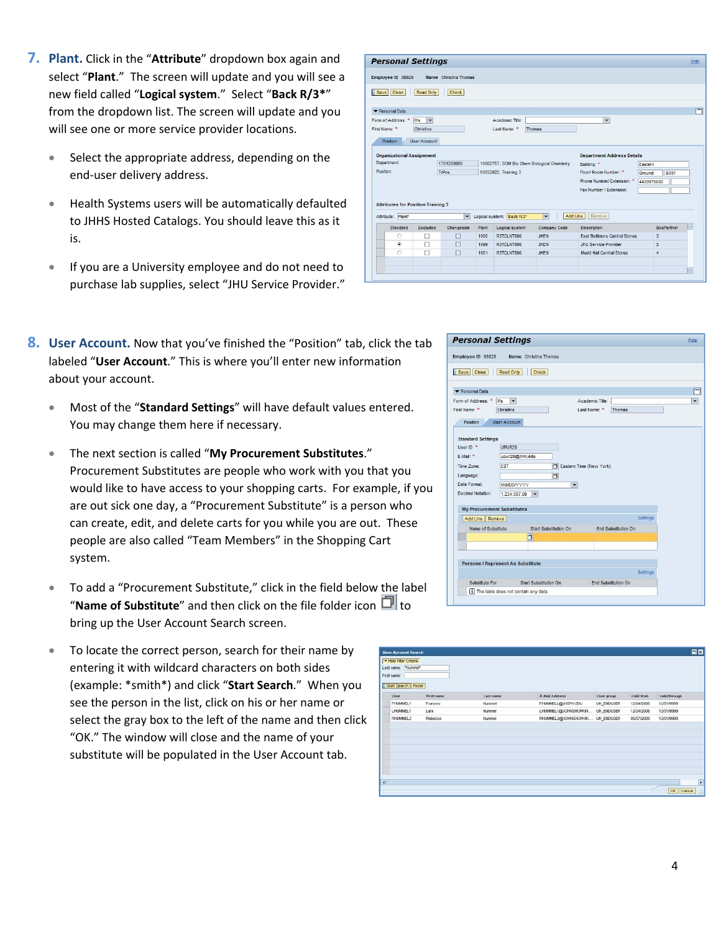- **7. Plant.** Click in the "**Attribute**" dropdown box again and select "**Plant**." The screen will update and you will see a new field called "**Logical system**." Select "**Back R/3\***" from the dropdown list. The screen will update and you will see one or more service provider locations.
	- Select the appropriate address, depending on the end‐user delivery address.
	- Health Systems users will be automatically defaulted to JHHS Hosted Catalogs. You should leave this as it is.
	- If you are a University employee and do not need to purchase lab supplies, select "JHU Service Provider."

| 8. User Account. Now that you've finished the "Position" tab, click the tab |
|-----------------------------------------------------------------------------|
| labeled "User Account." This is where you'll enter new information          |
| about your account.                                                         |

- Most of the "**Standard Settings**" will have default values entered. You may change them here if necessary.
- The next section is called "**My Procurement Substitutes**." Procurement Substitutes are people who work with you that you would like to have access to your shopping carts. For example, if you are out sick one day, a "Procurement Substitute" is a person who can create, edit, and delete carts for you while you are out. These people are also called "Team Members" in the Shopping Cart system.
- To add a "Procurement Substitute," click in the field below the label "**Name of Substitute**" and then click on the file folder icon  $\Box$  to bring up the User Account Search screen.
- To locate the correct person, search for their name by entering it with wildcard characters on both sides (example: \*smith\*) and click "**Start Search**." When you see the person in the list, click on his or her name or select the gray box to the left of the name and then click "OK." The window will close and the name of your substitute will be populated in the User Account tab.

|               |                    | <b>Personal Settings</b>                  |                          |                      |                 |                                             |                                      |                       | Help |  |
|---------------|--------------------|-------------------------------------------|--------------------------|----------------------|-----------------|---------------------------------------------|--------------------------------------|-----------------------|------|--|
|               | Employee ID 88829  |                                           | Name Christina Thomas    |                      |                 |                                             |                                      |                       |      |  |
| Save Close    |                    | Read Only                                 | Check                    |                      |                 |                                             |                                      |                       |      |  |
| Personal Data |                    |                                           |                          |                      |                 |                                             |                                      |                       |      |  |
|               | Form of Address: * | $\overline{\mathbf{v}}$<br><b>Ms</b>      |                          |                      | Academic Title: |                                             | $\overline{\phantom{0}}$             |                       |      |  |
| First Name: * |                    | Christina                                 |                          |                      | Last Name:      | Thomas                                      |                                      |                       |      |  |
| Position      |                    | <b>User Account</b>                       |                          |                      |                 |                                             |                                      |                       |      |  |
|               |                    |                                           |                          |                      |                 |                                             |                                      |                       |      |  |
|               |                    | <b>Organizational Assignment</b>          |                          |                      |                 |                                             | <b>Department Address Details</b>    |                       |      |  |
| Department:   |                    |                                           | 1701200099               |                      |                 | 10002757; SOM Bio Chem Biological Chemistry | Building: *                          | Eastern               |      |  |
| Position:     |                    |                                           | <b>TrPos</b>             | 50032922; Training 3 |                 |                                             | Floor/ Room Number: *                | <b>B001</b><br>Ground |      |  |
|               |                    |                                           |                          |                      |                 |                                             | Phone Number/ Extension: *           | 4439975600            |      |  |
|               |                    |                                           |                          |                      |                 |                                             | Fax Number / Extension:              |                       |      |  |
|               |                    | <b>Attributes for Position Training 3</b> |                          |                      |                 |                                             |                                      |                       |      |  |
|               |                    |                                           |                          |                      |                 |                                             |                                      |                       |      |  |
| Attribute:    | Plant <sup>*</sup> |                                           | $\overline{\phantom{a}}$ | Logical system:      | Back R/3*       | Add Line<br>$\overline{\phantom{0}}$        | Remove                               |                       |      |  |
|               | Standard           | Excluded                                  | Changeable               | Plant                | Logical system  | Company Code                                | <b>Description</b>                   | <b>BusPartner</b>     |      |  |
|               | $\circ$            | c                                         |                          | 1000                 | R3TCLNT800      | <b>JHFN</b>                                 | <b>East Baltimore Central Stores</b> | 3                     |      |  |
|               | $\circ$            | Г                                         |                          | 1099                 | R3TCLNT800      | <b>JHEN</b>                                 | <b>JHU Service Provider</b>          | 5                     |      |  |
|               | $\circ$            | П                                         |                          | 1001                 | R3TCLNT800      | <b>JHEN</b>                                 | Mudd Hall Central Stores             | 4                     |      |  |
|               |                    |                                           |                          |                      |                 |                                             |                                      |                       |      |  |
|               |                    |                                           |                          |                      |                 |                                             |                                      |                       |      |  |

|                                          | <b>Personal Settings</b> |                              |                 |                            |                 |
|------------------------------------------|--------------------------|------------------------------|-----------------|----------------------------|-----------------|
| Employee ID 88828                        |                          | <b>Name</b> Christina Thomas |                 |                            |                 |
| Save Close                               | Read Only                | <b>Check</b>                 |                 |                            |                 |
| Personal Data                            |                          |                              |                 |                            |                 |
| Form of Address: *<br>Ms                 | ٠                        |                              | Academic Title: |                            | ٠               |
| First Name: *                            | Christina                |                              | Last Name: *    | Thomas                     |                 |
| Position                                 | <b>User Account</b>      |                              |                 |                            |                 |
| <b>Standard Settings</b>                 |                          |                              |                 |                            |                 |
| User ID: *                               | UPUR28                   |                              |                 |                            |                 |
| $F-MaF$ $*$                              | upur28@jhmi.edu          |                              |                 |                            |                 |
| Time Zone:                               | <b>EST</b>               | Fil Eastern Time (New York)  |                 |                            |                 |
| Language:                                |                          | <b>D</b>                     |                 |                            |                 |
| Date Format:                             | <b>MM/DD/YYYYY</b>       | ٠                            |                 |                            |                 |
| Decimal Notation:                        | 1,234,567.89             | $\overline{\phantom{a}}$     |                 |                            |                 |
|                                          |                          |                              |                 |                            |                 |
| <b>My Procurement Substitutes</b>        |                          |                              |                 |                            | <b>Settings</b> |
| Add Line   Remove                        |                          |                              |                 |                            |                 |
| Name of Substitute                       |                          | Start Substitution On        |                 | End Substitution On        |                 |
|                                          |                          | d                            |                 |                            |                 |
|                                          |                          |                              |                 |                            |                 |
|                                          |                          |                              |                 |                            |                 |
| <b>Persons I Represent As Substitute</b> |                          |                              |                 |                            |                 |
| Substitute For                           |                          | <b>Start Substitution On</b> |                 | <b>End Substitution On</b> | Settings        |

|                | <b>User Account Search</b> |            |           |                                  |            |            | 日四              |
|----------------|----------------------------|------------|-----------|----------------------------------|------------|------------|-----------------|
|                | - Hide Filter Criteris     |            |           |                                  |            |            |                 |
|                | Lest name: "hummel"        |            |           |                                  |            |            |                 |
|                | First name:                |            |           |                                  |            |            |                 |
|                | Start Search Reset         |            |           |                                  |            |            |                 |
|                | User                       | First name | Last name | <b>E-Mail Address</b>            | User group | Valid from | Valid through   |
|                | FHLMMEL1                   | Frances    | Hummel    | FHJMMELL@JHSPH.EDU               | UN_ENDUSER | 12/24/2006 | 12/31/9999      |
|                | LHJMMEL1                   | Lara       | Hutmel    | LHUMMEL1@JOHNSHOPKIN  UN ENDUSER |            | 12/24/2006 | 12/31/9999      |
|                | RHJMMEL2                   | Rebecco    | Hummel    | RHUMMEL2@JOHNSHOPHIN UN_ENDUSER  |            | 05/27/2000 | 12/31/9999      |
|                |                            |            |           |                                  |            |            |                 |
|                |                            |            |           |                                  |            |            |                 |
|                |                            |            |           |                                  |            |            |                 |
|                |                            |            |           |                                  |            |            |                 |
|                |                            |            |           |                                  |            |            |                 |
|                |                            |            |           |                                  |            |            |                 |
|                |                            |            |           |                                  |            |            |                 |
| $\overline{4}$ |                            |            |           |                                  |            |            | ٠               |
|                |                            |            |           |                                  |            |            | OK Cancel<br>иĤ |